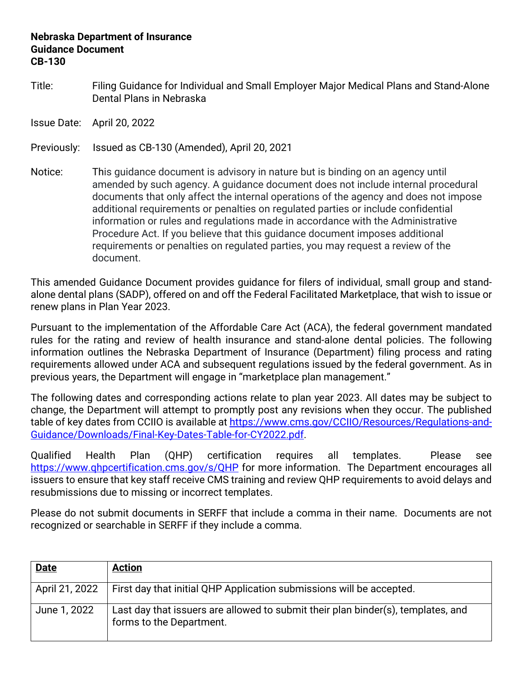## **Nebraska Department of Insurance Guidance Document CB-130**

Title: Filing Guidance for Individual and Small Employer Major Medical Plans and Stand-Alone Dental Plans in Nebraska

Issue Date: April 20, 2022

Previously: Issued as CB-130 (Amended), April 20, 2021

Notice: This guidance document is advisory in nature but is binding on an agency until amended by such agency. A guidance document does not include internal procedural documents that only affect the internal operations of the agency and does not impose additional requirements or penalties on regulated parties or include confidential information or rules and regulations made in accordance with the Administrative Procedure Act. If you believe that this guidance document imposes additional requirements or penalties on regulated parties, you may request a review of the document.

This amended Guidance Document provides guidance for filers of individual, small group and standalone dental plans (SADP), offered on and off the Federal Facilitated Marketplace, that wish to issue or renew plans in Plan Year 2023.

Pursuant to the implementation of the Affordable Care Act (ACA), the federal government mandated rules for the rating and review of health insurance and stand-alone dental policies. The following information outlines the Nebraska Department of Insurance (Department) filing process and rating requirements allowed under ACA and subsequent regulations issued by the federal government. As in previous years, the Department will engage in "marketplace plan management."

The following dates and corresponding actions relate to plan year 2023. All dates may be subject to change, the Department will attempt to promptly post any revisions when they occur. The published table of key dates from CCIIO is available at [https://www.cms.gov/CCIIO/Resources/Regulations-and-](https://www.cms.gov/CCIIO/Resources/Regulations-and-Guidance/Downloads/Final-Key-Dates-Table-for-CY2021.pdf)[Guidance/Downloads/Final-Key-Dates-Table-for-CY2022.pdf.](https://www.cms.gov/CCIIO/Resources/Regulations-and-Guidance/Downloads/Final-Key-Dates-Table-for-CY2021.pdf)

Qualified Health Plan (QHP) certification requires all templates. Please see https://www.ghpcertification.cms.gov/s/QHP for more information. The Department encourages all issuers to ensure that key staff receive CMS training and review QHP requirements to avoid delays and resubmissions due to missing or incorrect templates.

Please do not submit documents in SERFF that include a comma in their name. Documents are not recognized or searchable in SERFF if they include a comma.

| <b>Date</b>    | <b>Action</b>                                                                                                |
|----------------|--------------------------------------------------------------------------------------------------------------|
| April 21, 2022 | First day that initial QHP Application submissions will be accepted.                                         |
| June 1, 2022   | Last day that issuers are allowed to submit their plan binder(s), templates, and<br>forms to the Department. |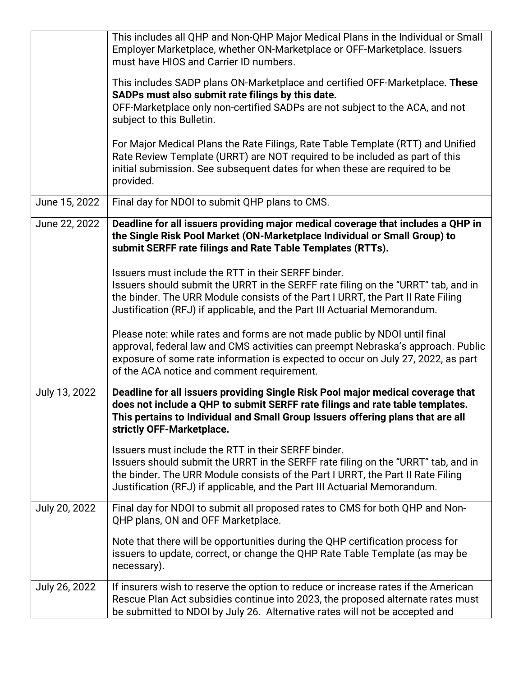|               | This includes all QHP and Non-QHP Major Medical Plans in the Individual or Small<br>Employer Marketplace, whether ON-Marketplace or OFF-Marketplace. Issuers<br>must have HIOS and Carrier ID numbers.                                                                                                   |
|---------------|----------------------------------------------------------------------------------------------------------------------------------------------------------------------------------------------------------------------------------------------------------------------------------------------------------|
|               | This includes SADP plans ON-Marketplace and certified OFF-Marketplace. These<br>SADPs must also submit rate filings by this date.<br>OFF-Marketplace only non-certified SADPs are not subject to the ACA, and not<br>subject to this Bulletin.                                                           |
|               | For Major Medical Plans the Rate Filings, Rate Table Template (RTT) and Unified<br>Rate Review Template (URRT) are NOT required to be included as part of this<br>initial submission. See subsequent dates for when these are required to be<br>provided.                                                |
| June 15, 2022 | Final day for NDOI to submit QHP plans to CMS.                                                                                                                                                                                                                                                           |
| June 22, 2022 | Deadline for all issuers providing major medical coverage that includes a QHP in<br>the Single Risk Pool Market (ON-Marketplace Individual or Small Group) to<br>submit SERFF rate filings and Rate Table Templates (RTTs).                                                                              |
|               | Issuers must include the RTT in their SERFF binder.<br>Issuers should submit the URRT in the SERFF rate filing on the "URRT" tab, and in<br>the binder. The URR Module consists of the Part I URRT, the Part II Rate Filing<br>Justification (RFJ) if applicable, and the Part III Actuarial Memorandum. |
|               | Please note: while rates and forms are not made public by NDOI until final<br>approval, federal law and CMS activities can preempt Nebraska's approach. Public<br>exposure of some rate information is expected to occur on July 27, 2022, as part<br>of the ACA notice and comment requirement.         |
| July 13, 2022 | Deadline for all issuers providing Single Risk Pool major medical coverage that<br>does not include a QHP to submit SERFF rate filings and rate table templates.<br>This pertains to Individual and Small Group Issuers offering plans that are all<br>strictly OFF-Marketplace.                         |
|               | Issuers must include the RTT in their SERFF binder.<br>Issuers should submit the URRT in the SERFF rate filing on the "URRT" tab, and in<br>the binder. The URR Module consists of the Part I URRT, the Part II Rate Filing<br>Justification (RFJ) if applicable, and the Part III Actuarial Memorandum. |
| July 20, 2022 | Final day for NDOI to submit all proposed rates to CMS for both QHP and Non-<br>QHP plans, ON and OFF Marketplace.                                                                                                                                                                                       |
|               | Note that there will be opportunities during the QHP certification process for<br>issuers to update, correct, or change the QHP Rate Table Template (as may be<br>necessary).                                                                                                                            |
| July 26, 2022 | If insurers wish to reserve the option to reduce or increase rates if the American<br>Rescue Plan Act subsidies continue into 2023, the proposed alternate rates must<br>be submitted to NDOI by July 26. Alternative rates will not be accepted and                                                     |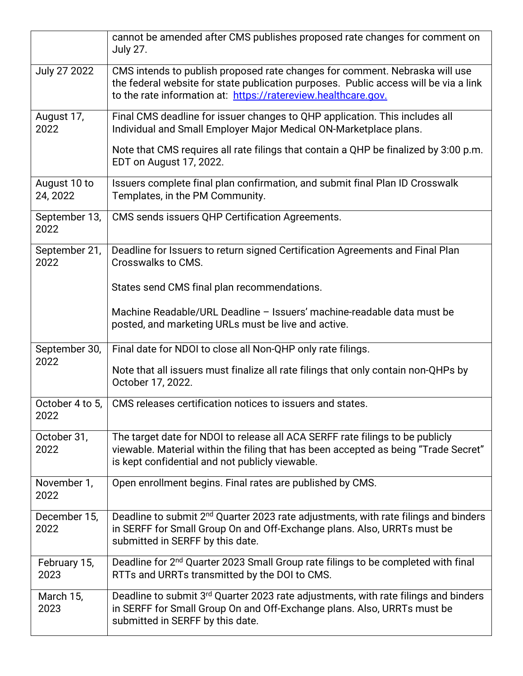|                          | cannot be amended after CMS publishes proposed rate changes for comment on<br><b>July 27.</b>                                                                                                                                         |
|--------------------------|---------------------------------------------------------------------------------------------------------------------------------------------------------------------------------------------------------------------------------------|
| July 27 2022             | CMS intends to publish proposed rate changes for comment. Nebraska will use<br>the federal website for state publication purposes. Public access will be via a link<br>to the rate information at: https://ratereview.healthcare.gov. |
| August 17,<br>2022       | Final CMS deadline for issuer changes to QHP application. This includes all<br>Individual and Small Employer Major Medical ON-Marketplace plans.                                                                                      |
|                          | Note that CMS requires all rate filings that contain a QHP be finalized by 3:00 p.m.<br>EDT on August 17, 2022.                                                                                                                       |
| August 10 to<br>24, 2022 | Issuers complete final plan confirmation, and submit final Plan ID Crosswalk<br>Templates, in the PM Community.                                                                                                                       |
| September 13,<br>2022    | CMS sends issuers QHP Certification Agreements.                                                                                                                                                                                       |
| September 21,<br>2022    | Deadline for Issuers to return signed Certification Agreements and Final Plan<br>Crosswalks to CMS.                                                                                                                                   |
|                          | States send CMS final plan recommendations.                                                                                                                                                                                           |
|                          | Machine Readable/URL Deadline - Issuers' machine-readable data must be<br>posted, and marketing URLs must be live and active.                                                                                                         |
| September 30,            | Final date for NDOI to close all Non-QHP only rate filings.                                                                                                                                                                           |
| 2022                     | Note that all issuers must finalize all rate filings that only contain non-QHPs by<br>October 17, 2022.                                                                                                                               |
| October 4 to 5,<br>2022  | CMS releases certification notices to issuers and states.                                                                                                                                                                             |
| October 31,<br>2022      | The target date for NDOI to release all ACA SERFF rate filings to be publicly<br>viewable. Material within the filing that has been accepted as being "Trade Secret"<br>is kept confidential and not publicly viewable.               |
| November 1,<br>2022      | Open enrollment begins. Final rates are published by CMS.                                                                                                                                                                             |
| December 15,<br>2022     | Deadline to submit 2 <sup>nd</sup> Quarter 2023 rate adjustments, with rate filings and binders<br>in SERFF for Small Group On and Off-Exchange plans. Also, URRTs must be<br>submitted in SERFF by this date.                        |
| February 15,<br>2023     | Deadline for 2 <sup>nd</sup> Quarter 2023 Small Group rate filings to be completed with final<br>RTTs and URRTs transmitted by the DOI to CMS.                                                                                        |
| March 15,<br>2023        | Deadline to submit 3 <sup>rd</sup> Quarter 2023 rate adjustments, with rate filings and binders<br>in SERFF for Small Group On and Off-Exchange plans. Also, URRTs must be<br>submitted in SERFF by this date.                        |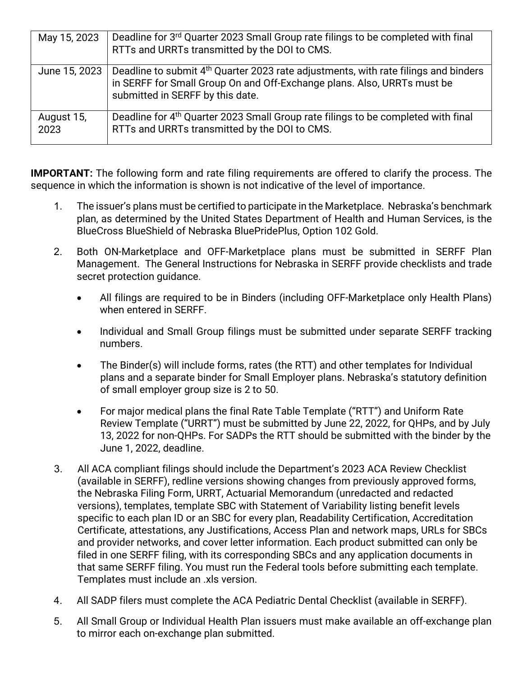| May 15, 2023       | Deadline for 3 <sup>rd</sup> Quarter 2023 Small Group rate filings to be completed with final<br>RTTs and URRTs transmitted by the DOI to CMS.                                                                 |
|--------------------|----------------------------------------------------------------------------------------------------------------------------------------------------------------------------------------------------------------|
| June 15, 2023      | Deadline to submit 4 <sup>th</sup> Quarter 2023 rate adjustments, with rate filings and binders<br>in SERFF for Small Group On and Off-Exchange plans. Also, URRTs must be<br>submitted in SERFF by this date. |
| August 15,<br>2023 | Deadline for 4 <sup>th</sup> Quarter 2023 Small Group rate filings to be completed with final<br>RTTs and URRTs transmitted by the DOI to CMS.                                                                 |

**IMPORTANT:** The following form and rate filing requirements are offered to clarify the process. The sequence in which the information is shown is not indicative of the level of importance.

- 1. The issuer's plans must be certified to participate in the Marketplace. Nebraska's benchmark plan, as determined by the United States Department of Health and Human Services, is the BlueCross BlueShield of Nebraska BluePridePlus, Option 102 Gold.
- 2. Both ON-Marketplace and OFF-Marketplace plans must be submitted in SERFF Plan Management. The General Instructions for Nebraska in SERFF provide checklists and trade secret protection guidance.
	- All filings are required to be in Binders (including OFF-Marketplace only Health Plans) when entered in SERFF.
	- Individual and Small Group filings must be submitted under separate SERFF tracking numbers.
	- The Binder(s) will include forms, rates (the RTT) and other templates for Individual plans and a separate binder for Small Employer plans. Nebraska's statutory definition of small employer group size is 2 to 50.
	- For major medical plans the final Rate Table Template ("RTT") and Uniform Rate Review Template ("URRT") must be submitted by June 22, 2022, for QHPs, and by July 13, 2022 for non-QHPs. For SADPs the RTT should be submitted with the binder by the June 1, 2022, deadline.
- 3. All ACA compliant filings should include the Department's 2023 ACA Review Checklist (available in SERFF), redline versions showing changes from previously approved forms, the Nebraska Filing Form, URRT, Actuarial Memorandum (unredacted and redacted versions), templates, template SBC with Statement of Variability listing benefit levels specific to each plan ID or an SBC for every plan, Readability Certification, Accreditation Certificate, attestations, any Justifications, Access Plan and network maps, URLs for SBCs and provider networks, and cover letter information. Each product submitted can only be filed in one SERFF filing, with its corresponding SBCs and any application documents in that same SERFF filing. You must run the Federal tools before submitting each template. Templates must include an .xls version.
- 4. All SADP filers must complete the ACA Pediatric Dental Checklist (available in SERFF).
- 5. All Small Group or Individual Health Plan issuers must make available an off-exchange plan to mirror each on-exchange plan submitted.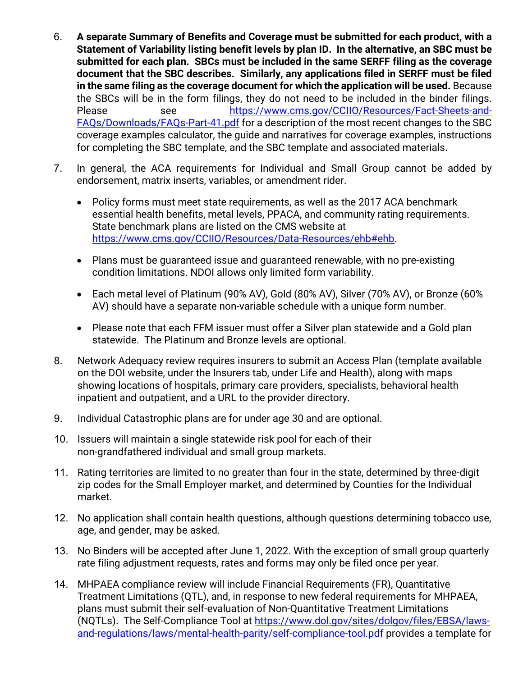- 6. **A separate Summary of Benefits and Coverage must be submitted for each product, with a Statement of Variability listing benefit levels by plan ID. In the alternative, an SBC must be submitted for each plan. SBCs must be included in the same SERFF filing as the coverage document that the SBC describes. Similarly, any applications filed in SERFF must be filed in the same filing as the coverage document for which the application will be used.** Because the SBCs will be in the form filings, they do not need to be included in the binder filings. Please see [https://www.cms.gov/CCIIO/Resources/Fact-Sheets-and-](https://www.cms.gov/CCIIO/Resources/Fact-Sheets-and-FAQs/Downloads/FAQs-Part-41.pdf)[FAQs/Downloads/FAQs-Part-41.pdf](https://www.cms.gov/CCIIO/Resources/Fact-Sheets-and-FAQs/Downloads/FAQs-Part-41.pdf) for a description of the most recent changes to the SBC coverage examples calculator, the guide and narratives for coverage examples, instructions for completing the SBC template, and the SBC template and associated materials.
- 7. In general, the ACA requirements for Individual and Small Group cannot be added by endorsement, matrix inserts, variables, or amendment rider.
	- Policy forms must meet state requirements, as well as the 2017 ACA benchmark essential health benefits, metal levels, PPACA, and community rating requirements. State benchmark plans are listed on the CMS website at [https://www.cms.gov/CCIIO/Resources/Data-Resources/ehb#ehb.](https://www.cms.gov/CCIIO/Resources/Data-Resources/ehb#ehb)
	- Plans must be guaranteed issue and guaranteed renewable, with no pre-existing condition limitations. NDOI allows only limited form variability.
	- Each metal level of Platinum (90% AV), Gold (80% AV), Silver (70% AV), or Bronze (60% AV) should have a separate non-variable schedule with a unique form number.
	- Please note that each FFM issuer must offer a Silver plan statewide and a Gold plan statewide. The Platinum and Bronze levels are optional.
- 8. Network Adequacy review requires insurers to submit an Access Plan (template available on the DOI website, under the Insurers tab, under Life and Health), along with maps showing locations of hospitals, primary care providers, specialists, behavioral health inpatient and outpatient, and a URL to the provider directory.
- 9. Individual Catastrophic plans are for under age 30 and are optional.
- 10. Issuers will maintain a single statewide risk pool for each of their non-grandfathered individual and small group markets.
- 11. Rating territories are limited to no greater than four in the state, determined by three-digit zip codes for the Small Employer market, and determined by Counties for the Individual market.
- 12. No application shall contain health questions, although questions determining tobacco use, age, and gender, may be asked.
- 13. No Binders will be accepted after June 1, 2022. With the exception of small group quarterly rate filing adjustment requests, rates and forms may only be filed once per year.
- 14. MHPAEA compliance review will include Financial Requirements (FR), Quantitative Treatment Limitations (QTL), and, in response to new federal requirements for MHPAEA, plans must submit their self-evaluation of Non-Quantitative Treatment Limitations (NQTLs). The Self-Compliance Tool at [https://www.dol.gov/sites/dolgov/files/EBSA/laws](https://www.dol.gov/sites/dolgov/files/EBSA/laws-and-regulations/laws/mental-health-parity/self-compliance-tool.pdf)[and-regulations/laws/mental-health-parity/self-compliance-tool.pdf](https://www.dol.gov/sites/dolgov/files/EBSA/laws-and-regulations/laws/mental-health-parity/self-compliance-tool.pdf) provides a template for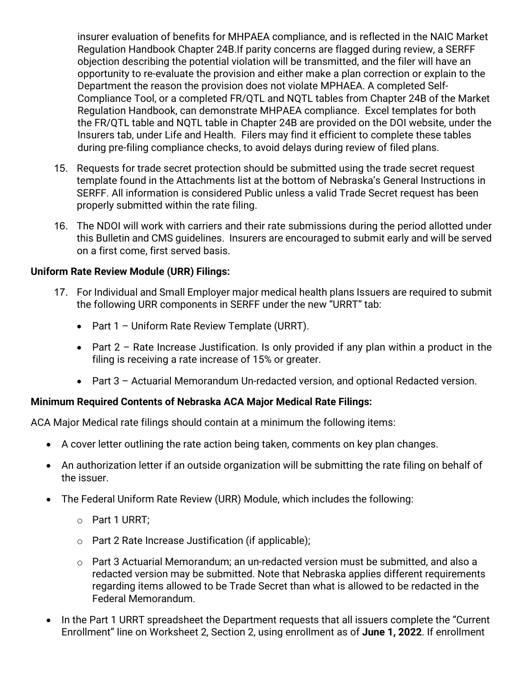insurer evaluation of benefits for MHPAEA compliance, and is reflected in the NAIC Market Regulation Handbook Chapter 24B.If parity concerns are flagged during review, a SERFF objection describing the potential violation will be transmitted, and the filer will have an opportunity to re-evaluate the provision and either make a plan correction or explain to the Department the reason the provision does not violate MPHAEA. A completed Self-Compliance Tool, or a completed FR/QTL and NQTL tables from Chapter 24B of the Market Regulation Handbook, can demonstrate MHPAEA compliance. Excel templates for both the FR/QTL table and NQTL table in Chapter 24B are provided on the DOI website, under the Insurers tab, under Life and Health. Filers may find it efficient to complete these tables during pre-filing compliance checks, to avoid delays during review of filed plans.

- 15. Requests for trade secret protection should be submitted using the trade secret request template found in the Attachments list at the bottom of Nebraska's General Instructions in SERFF. All information is considered Public unless a valid Trade Secret request has been properly submitted within the rate filing.
- 16. The NDOI will work with carriers and their rate submissions during the period allotted under this Bulletin and CMS guidelines. Insurers are encouraged to submit early and will be served on a first come, first served basis.

## **Uniform Rate Review Module (URR) Filings:**

- 17. For Individual and Small Employer major medical health plans Issuers are required to submit the following URR components in SERFF under the new "URRT" tab:
	- Part 1 Uniform Rate Review Template (URRT).
	- Part  $2$  Rate Increase Justification. Is only provided if any plan within a product in the filing is receiving a rate increase of 15% or greater.
	- Part 3 Actuarial Memorandum Un-redacted version, and optional Redacted version.

## **Minimum Required Contents of Nebraska ACA Major Medical Rate Filings:**

ACA Major Medical rate filings should contain at a minimum the following items:

- A cover letter outlining the rate action being taken, comments on key plan changes.
- An authorization letter if an outside organization will be submitting the rate filing on behalf of the issuer.
- The Federal Uniform Rate Review (URR) Module, which includes the following:
	- o Part 1 URRT;
	- o Part 2 Rate Increase Justification (if applicable);
	- $\circ$  Part 3 Actuarial Memorandum; an un-redacted version must be submitted, and also a redacted version may be submitted. Note that Nebraska applies different requirements regarding items allowed to be Trade Secret than what is allowed to be redacted in the Federal Memorandum.
- In the Part 1 URRT spreadsheet the Department requests that all issuers complete the "Current Enrollment" line on Worksheet 2, Section 2, using enrollment as of **June 1, 2022**. If enrollment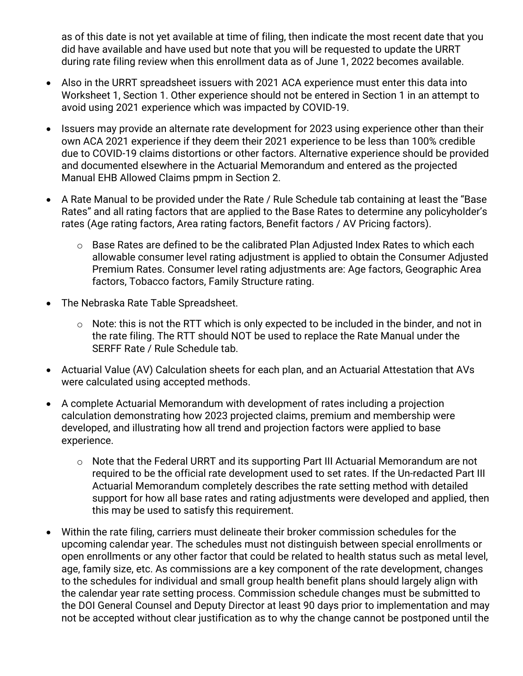as of this date is not yet available at time of filing, then indicate the most recent date that you did have available and have used but note that you will be requested to update the URRT during rate filing review when this enrollment data as of June 1, 2022 becomes available.

- Also in the URRT spreadsheet issuers with 2021 ACA experience must enter this data into Worksheet 1, Section 1. Other experience should not be entered in Section 1 in an attempt to avoid using 2021 experience which was impacted by COVID-19.
- Issuers may provide an alternate rate development for 2023 using experience other than their own ACA 2021 experience if they deem their 2021 experience to be less than 100% credible due to COVID-19 claims distortions or other factors. Alternative experience should be provided and documented elsewhere in the Actuarial Memorandum and entered as the projected Manual EHB Allowed Claims pmpm in Section 2.
- A Rate Manual to be provided under the Rate / Rule Schedule tab containing at least the "Base Rates" and all rating factors that are applied to the Base Rates to determine any policyholder's rates (Age rating factors, Area rating factors, Benefit factors / AV Pricing factors).
	- o Base Rates are defined to be the calibrated Plan Adjusted Index Rates to which each allowable consumer level rating adjustment is applied to obtain the Consumer Adjusted Premium Rates. Consumer level rating adjustments are: Age factors, Geographic Area factors, Tobacco factors, Family Structure rating.
- The Nebraska Rate Table Spreadsheet.
	- o Note: this is not the RTT which is only expected to be included in the binder, and not in the rate filing. The RTT should NOT be used to replace the Rate Manual under the SERFF Rate / Rule Schedule tab.
- Actuarial Value (AV) Calculation sheets for each plan, and an Actuarial Attestation that AVs were calculated using accepted methods.
- A complete Actuarial Memorandum with development of rates including a projection calculation demonstrating how 2023 projected claims, premium and membership were developed, and illustrating how all trend and projection factors were applied to base experience.
	- o Note that the Federal URRT and its supporting Part III Actuarial Memorandum are not required to be the official rate development used to set rates. If the Un-redacted Part III Actuarial Memorandum completely describes the rate setting method with detailed support for how all base rates and rating adjustments were developed and applied, then this may be used to satisfy this requirement.
- Within the rate filing, carriers must delineate their broker commission schedules for the upcoming calendar year. The schedules must not distinguish between special enrollments or open enrollments or any other factor that could be related to health status such as metal level, age, family size, etc. As commissions are a key component of the rate development, changes to the schedules for individual and small group health benefit plans should largely align with the calendar year rate setting process. Commission schedule changes must be submitted to the DOI General Counsel and Deputy Director at least 90 days prior to implementation and may not be accepted without clear justification as to why the change cannot be postponed until the